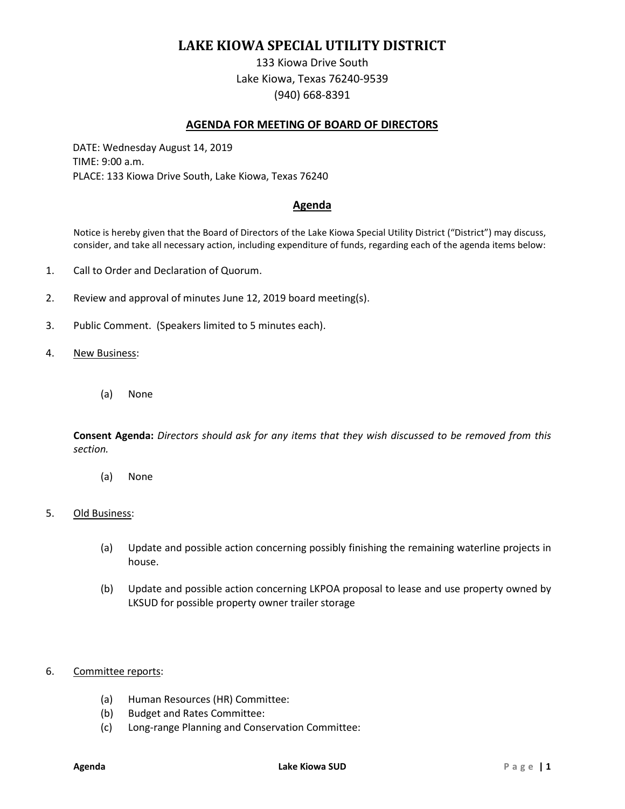# **LAKE KIOWA SPECIAL UTILITY DISTRICT**

133 Kiowa Drive South Lake Kiowa, Texas 76240-9539 (940) 668-8391

## **AGENDA FOR MEETING OF BOARD OF DIRECTORS**

DATE: Wednesday August 14, 2019 TIME: 9:00 a.m. PLACE: 133 Kiowa Drive South, Lake Kiowa, Texas 76240

## **Agenda**

Notice is hereby given that the Board of Directors of the Lake Kiowa Special Utility District ("District") may discuss, consider, and take all necessary action, including expenditure of funds, regarding each of the agenda items below:

- 1. Call to Order and Declaration of Quorum.
- 2. Review and approval of minutes June 12, 2019 board meeting(s).
- 3. Public Comment. (Speakers limited to 5 minutes each).
- 4. New Business:
	- (a) None

**Consent Agenda:** *Directors should ask for any items that they wish discussed to be removed from this section.*

(a) None

#### 5. Old Business:

- (a) Update and possible action concerning possibly finishing the remaining waterline projects in house.
- (b) Update and possible action concerning LKPOA proposal to lease and use property owned by LKSUD for possible property owner trailer storage

#### 6. Committee reports:

- (a) Human Resources (HR) Committee:
- (b) Budget and Rates Committee:
- (c) Long-range Planning and Conservation Committee: